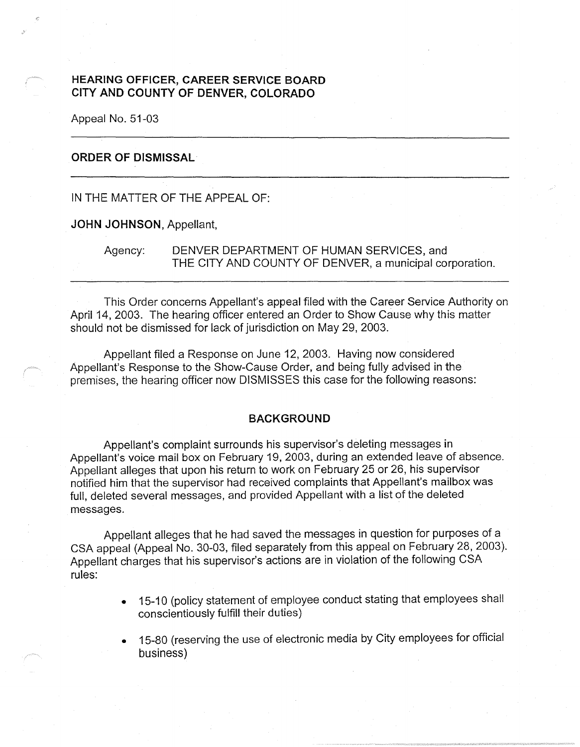# **HEARING OFFICER, CAREER SERVICE BOARD CITY AND COUNTY OF DENVER, COLORADO**

Appeal No. 51-03

## **ORDER OF DISMISSAL**

IN THE MATTER OF THE APPEAL OF:

### **JOHN JOHNSON,** Appellant,

Agency: DENVER DEPARTMENT OF HUMAN SERVICES, and THE CITY AND COUNTY OF DENVER, a municipal corporation.

This Order concerns Appellant's appeal filed with the Career Service Authority on April 14, 2003. The hearing officer entered an Order to Show Cause why this matter should not be dismissed for lack of jurisdiction on May 29, 2003.

Appellant filed a Response on June 12, 2003. Having now considered Appellant's Response to the Show-Cause Order, and being fully advised in the premises, the hearing officer now DISMISSES this case for the following reasons:

#### **BACKGROUND**

Appellant's complaint surrounds his supervisor's deleting messages in Appellant's voice mail box on February 19, 2003, during an extended leave of absence. Appellant alleges that upon his return to work on February 25 or 26, his supervisor notified him that the supervisor had received complaints that Appellant's mailbox was full, deleted several messages, and provided Appellant with a list of the deleted messages.

Appellant alleges that he had saved the messages in question for purposes of a CSA appeal (Appeal No. 30-03, filed separately from this appeal on February 28, 2003). Appellant charges that his supervisor's actions are in violation of the following CSA rules:

- 15-10 (policy statement of employee conduct stating that employees shall conscientiously fulfill their duties)
- 15-80 (reserving the use of electronic media by City employees for official business)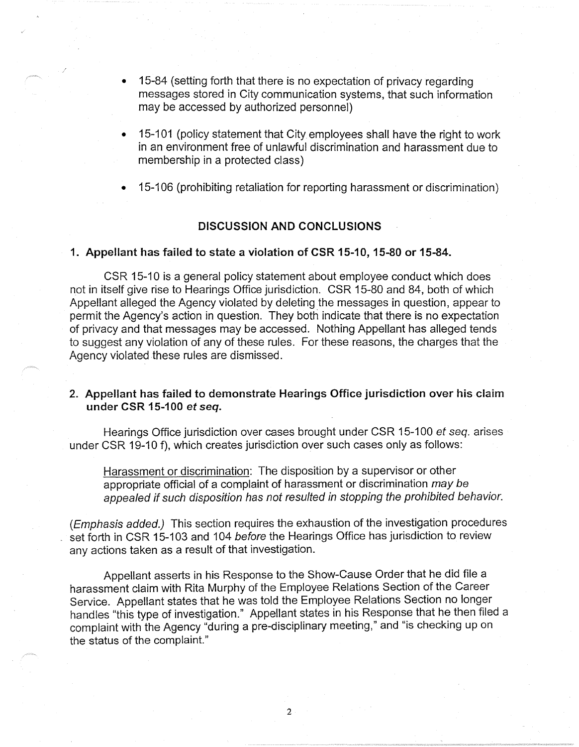- 15-84 (setting forth that there is no expectation of privacy regarding messages stored in City communication systems, that such information may be accessed by authorized personnel)
- 15-101 (policy statement that City employees shall have the right to work in an environment free of unlawful discrimination and harassment due to membership in a protected class)
- 15-106 (prohibiting retaliation for reporting harassment or discrimination)

### **DISCUSSION AND CONCLUSIONS**

#### **1. Appellant has failed to state a violation of CSR 15-10, 15-80 or 15-84.**

CSR 15-10 is a general policy statement about employee conduct which does not in itself give rise to Hearings Office jurisdiction. CSR 15-80 and 84, both of which Appellant alleged the Agency violated by deleting the messages in question, appear to permit the Agency's action in question. They both indicate that there is no expectation of privacy and that messages may be accessed. Nothing Appellant has alleged tends to suggest any violation of any of these rules. For these reasons, the charges that the Agency violated these rules are dismissed.

# **2. Appellant has failed to demonstrate Hearings Office jurisdiction over his claim under CSR 15-100 et seq.**

Hearings Office jurisdiction over cases brought under CSR 15-100 et seq. arises under CSR 19-10 f), which creates jurisdiction over such cases only as follows:

Harassment or discrimination: The disposition by a supervisor or other appropriate official of a complaint of harassment or discrimination may be appealed if such disposition has not resulted in stopping the prohibited behavior.

(Emphasis added.) This section requires the exhaustion of the investigation procedures set forth in CSR 15-103 and 104 before the Hearings Office has jurisdiction to review any actions taken as a result of that investigation.

Appellant asserts in his Response to the Show-Cause Order that he did file a harassment claim with Rita Murphy of the Employee Relations Section of the Career Service. Appellant states that he was told the Employee Relations Section no longer handles "this type of investigation." Appellant states in his Response that he then filed a complaint with the Agency "during a pre-disciplinary meeting," and "is checking up on the status of the complaint."

2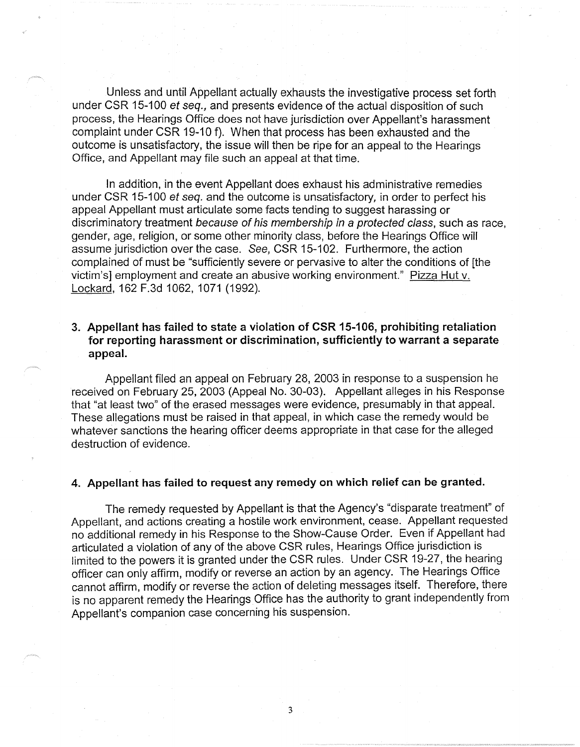Unless and until Appellant actually exhausts the investigative process set forth under CSR 15-100 et seq., and presents evidence of the actual disposition of such process, the Hearings Office does not have jurisdiction over Appellant's harassment complaint under CSR 19-10 f). When that process has been exhausted and the outcome is unsatisfactory, the issue will then be ripe for an appeal to the Hearings Office, and Appellant may file such an appeal at that time.

In addition, in the event Appellant does exhaust his administrative remedies under CSR 15-100 et seq. and the outcome is unsatisfactory, in order to perfect his appeal Appellant must articulate some facts tending to suggest harassing or discriminatory treatment because of his membership in a protected class, such as race, gender, age, religion, or some other minority class, before the Hearings Office will assume jurisdiction over the case. See, CSR 15-102. Furthermore, the action complained of must be "sufficiently severe or pervasive to alter the conditions of [the victim's] employment and create an abusive working environment." Pizza Hut v. Lockard, 162 F.3d 1062, 1071 (1992).

# **3. Appellant has failed to state a violation of CSR 15-106, prohibiting retaliation for reporting harassment or discrimination, sufficiently to warrant a separate appeal.**

Appellant filed an appeal on February 28, 2003 in response to a suspension he received on February 25, 2003 (Appeal No. 30-03). Appellant alleges in his Response that "at least two" of the erased messages were evidence, presumably in that appeal. These allegations must be raised in that appeal, in which case the remedy would be whatever sanctions the hearing officer deems appropriate in that case for the alleged destruction of evidence.

### **4. Appellant has failed to request any remedy on which relief can be granted.**

The remedy requested by Appellant is that the Agency's "disparate treatment" of Appellant, and actions creating a hostile work environment, cease. Appellant requested no additional remedy in his Response to the Show-Cause Order. Even if Appellant had articulated a violation of any of the above CSR rules, Hearings Office jurisdiction is limited to the powers it is granted under the CSR rules. Under CSR 19-27, the hearing officer can only affirm, modify or reverse an action by an agency. The Hearings Office cannot affirm, modify or reverse the action of deleting messages itself. Therefore, there is no apparent remedy the Hearings Office has the authority to grant independently from Appellant's companion case concerning his suspension.

3